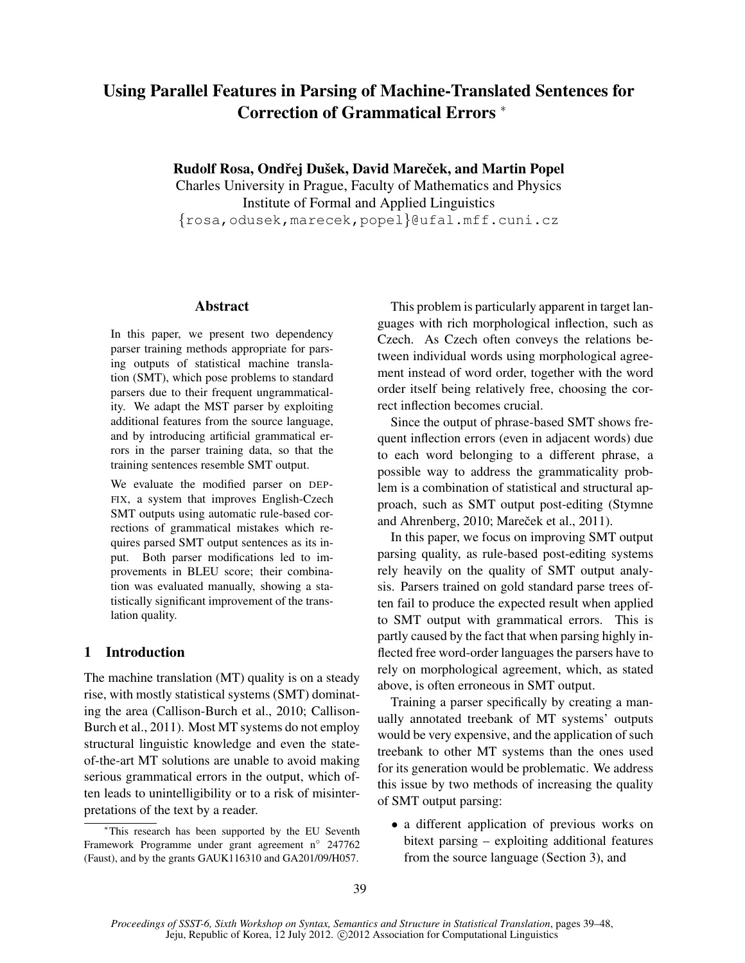# Using Parallel Features in Parsing of Machine-Translated Sentences for Correction of Grammatical Errors <sup>∗</sup>

Rudolf Rosa, Ondřej Dušek, David Mareček, and Martin Popel

Charles University in Prague, Faculty of Mathematics and Physics Institute of Formal and Applied Linguistics {rosa,odusek,marecek,popel}@ufal.mff.cuni.cz

#### Abstract

In this paper, we present two dependency parser training methods appropriate for parsing outputs of statistical machine translation (SMT), which pose problems to standard parsers due to their frequent ungrammaticality. We adapt the MST parser by exploiting additional features from the source language, and by introducing artificial grammatical errors in the parser training data, so that the training sentences resemble SMT output.

We evaluate the modified parser on DEP-FIX, a system that improves English-Czech SMT outputs using automatic rule-based corrections of grammatical mistakes which requires parsed SMT output sentences as its input. Both parser modifications led to improvements in BLEU score; their combination was evaluated manually, showing a statistically significant improvement of the translation quality.

### 1 Introduction

The machine translation (MT) quality is on a steady rise, with mostly statistical systems (SMT) dominating the area (Callison-Burch et al., 2010; Callison-Burch et al., 2011). Most MT systems do not employ structural linguistic knowledge and even the stateof-the-art MT solutions are unable to avoid making serious grammatical errors in the output, which often leads to unintelligibility or to a risk of misinterpretations of the text by a reader.

This problem is particularly apparent in target languages with rich morphological inflection, such as Czech. As Czech often conveys the relations between individual words using morphological agreement instead of word order, together with the word order itself being relatively free, choosing the correct inflection becomes crucial.

Since the output of phrase-based SMT shows frequent inflection errors (even in adjacent words) due to each word belonging to a different phrase, a possible way to address the grammaticality problem is a combination of statistical and structural approach, such as SMT output post-editing (Stymne and Ahrenberg, 2010; Mareček et al., 2011).

In this paper, we focus on improving SMT output parsing quality, as rule-based post-editing systems rely heavily on the quality of SMT output analysis. Parsers trained on gold standard parse trees often fail to produce the expected result when applied to SMT output with grammatical errors. This is partly caused by the fact that when parsing highly inflected free word-order languages the parsers have to rely on morphological agreement, which, as stated above, is often erroneous in SMT output.

Training a parser specifically by creating a manually annotated treebank of MT systems' outputs would be very expensive, and the application of such treebank to other MT systems than the ones used for its generation would be problematic. We address this issue by two methods of increasing the quality of SMT output parsing:

• a different application of previous works on bitext parsing – exploiting additional features from the source language (Section 3), and

<sup>∗</sup>This research has been supported by the EU Seventh Framework Programme under grant agreement n◦ 247762 (Faust), and by the grants GAUK116310 and GA201/09/H057.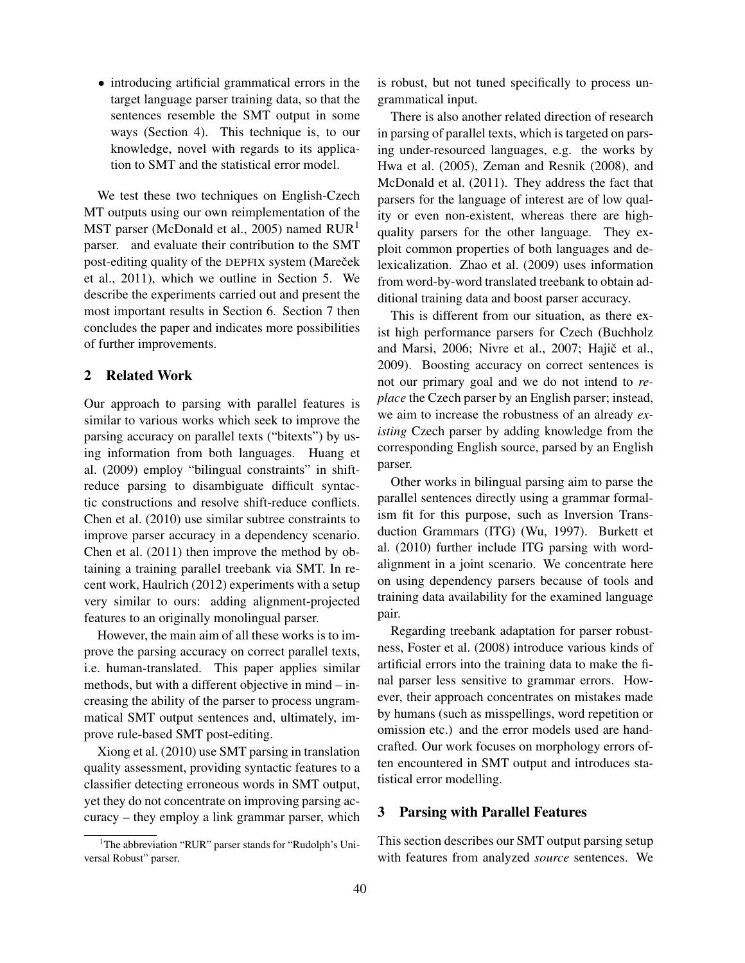• introducing artificial grammatical errors in the target language parser training data, so that the sentences resemble the SMT output in some ways (Section 4). This technique is, to our knowledge, novel with regards to its application to SMT and the statistical error model.

We test these two techniques on English-Czech MT outputs using our own reimplementation of the MST parser (McDonald et al., 2005) named  $RUR<sup>1</sup>$ parser. and evaluate their contribution to the SMT post-editing quality of the DEPFIX system (Mareček et al., 2011), which we outline in Section 5. We describe the experiments carried out and present the most important results in Section 6. Section 7 then concludes the paper and indicates more possibilities of further improvements.

### 2 Related Work

Our approach to parsing with parallel features is similar to various works which seek to improve the parsing accuracy on parallel texts ("bitexts") by using information from both languages. Huang et al. (2009) employ "bilingual constraints" in shiftreduce parsing to disambiguate difficult syntactic constructions and resolve shift-reduce conflicts. Chen et al. (2010) use similar subtree constraints to improve parser accuracy in a dependency scenario. Chen et al. (2011) then improve the method by obtaining a training parallel treebank via SMT. In recent work, Haulrich (2012) experiments with a setup very similar to ours: adding alignment-projected features to an originally monolingual parser.

However, the main aim of all these works is to improve the parsing accuracy on correct parallel texts, i.e. human-translated. This paper applies similar methods, but with a different objective in mind – increasing the ability of the parser to process ungrammatical SMT output sentences and, ultimately, improve rule-based SMT post-editing.

Xiong et al. (2010) use SMT parsing in translation quality assessment, providing syntactic features to a classifier detecting erroneous words in SMT output, yet they do not concentrate on improving parsing accuracy – they employ a link grammar parser, which is robust, but not tuned specifically to process ungrammatical input.

There is also another related direction of research in parsing of parallel texts, which is targeted on parsing under-resourced languages, e.g. the works by Hwa et al. (2005), Zeman and Resnik (2008), and McDonald et al. (2011). They address the fact that parsers for the language of interest are of low quality or even non-existent, whereas there are highquality parsers for the other language. They exploit common properties of both languages and delexicalization. Zhao et al. (2009) uses information from word-by-word translated treebank to obtain additional training data and boost parser accuracy.

This is different from our situation, as there exist high performance parsers for Czech (Buchholz and Marsi, 2006; Nivre et al., 2007; Hajič et al., 2009). Boosting accuracy on correct sentences is not our primary goal and we do not intend to *replace* the Czech parser by an English parser; instead, we aim to increase the robustness of an already *existing* Czech parser by adding knowledge from the corresponding English source, parsed by an English parser.

Other works in bilingual parsing aim to parse the parallel sentences directly using a grammar formalism fit for this purpose, such as Inversion Transduction Grammars (ITG) (Wu, 1997). Burkett et al. (2010) further include ITG parsing with wordalignment in a joint scenario. We concentrate here on using dependency parsers because of tools and training data availability for the examined language pair.

Regarding treebank adaptation for parser robustness, Foster et al. (2008) introduce various kinds of artificial errors into the training data to make the final parser less sensitive to grammar errors. However, their approach concentrates on mistakes made by humans (such as misspellings, word repetition or omission etc.) and the error models used are handcrafted. Our work focuses on morphology errors often encountered in SMT output and introduces statistical error modelling.

### 3 Parsing with Parallel Features

This section describes our SMT output parsing setup with features from analyzed *source* sentences. We

<sup>&</sup>lt;sup>1</sup>The abbreviation "RUR" parser stands for "Rudolph's Universal Robust" parser.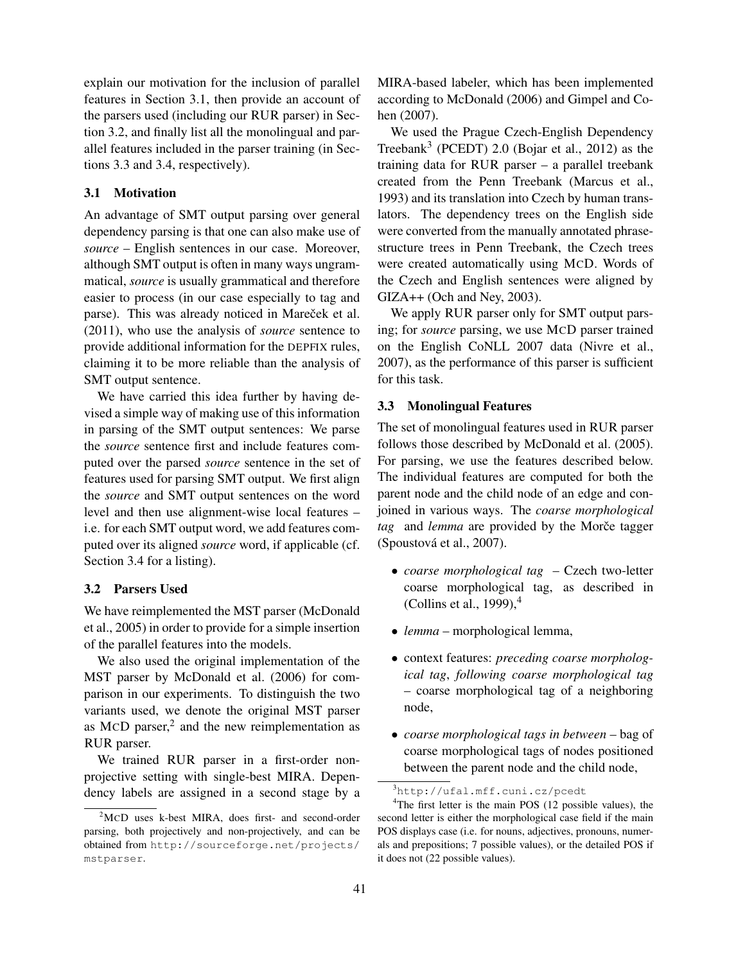explain our motivation for the inclusion of parallel features in Section 3.1, then provide an account of the parsers used (including our RUR parser) in Section 3.2, and finally list all the monolingual and parallel features included in the parser training (in Sections 3.3 and 3.4, respectively).

### 3.1 Motivation

An advantage of SMT output parsing over general dependency parsing is that one can also make use of *source* – English sentences in our case. Moreover, although SMT output is often in many ways ungrammatical, *source* is usually grammatical and therefore easier to process (in our case especially to tag and parse). This was already noticed in Mareček et al. (2011), who use the analysis of *source* sentence to provide additional information for the DEPFIX rules, claiming it to be more reliable than the analysis of SMT output sentence.

We have carried this idea further by having devised a simple way of making use of this information in parsing of the SMT output sentences: We parse the *source* sentence first and include features computed over the parsed *source* sentence in the set of features used for parsing SMT output. We first align the *source* and SMT output sentences on the word level and then use alignment-wise local features – i.e. for each SMT output word, we add features computed over its aligned *source* word, if applicable (cf. Section 3.4 for a listing).

### 3.2 Parsers Used

We have reimplemented the MST parser (McDonald et al., 2005) in order to provide for a simple insertion of the parallel features into the models.

We also used the original implementation of the MST parser by McDonald et al. (2006) for comparison in our experiments. To distinguish the two variants used, we denote the original MST parser as MCD parser, $2$  and the new reimplementation as RUR parser.

We trained RUR parser in a first-order nonprojective setting with single-best MIRA. Dependency labels are assigned in a second stage by a MIRA-based labeler, which has been implemented according to McDonald (2006) and Gimpel and Cohen (2007).

We used the Prague Czech-English Dependency Treebank<sup>3</sup> (PCEDT) 2.0 (Bojar et al., 2012) as the training data for RUR parser – a parallel treebank created from the Penn Treebank (Marcus et al., 1993) and its translation into Czech by human translators. The dependency trees on the English side were converted from the manually annotated phrasestructure trees in Penn Treebank, the Czech trees were created automatically using MCD. Words of the Czech and English sentences were aligned by GIZA++ (Och and Ney, 2003).

We apply RUR parser only for SMT output parsing; for *source* parsing, we use MCD parser trained on the English CoNLL 2007 data (Nivre et al., 2007), as the performance of this parser is sufficient for this task.

### 3.3 Monolingual Features

The set of monolingual features used in RUR parser follows those described by McDonald et al. (2005). For parsing, we use the features described below. The individual features are computed for both the parent node and the child node of an edge and conjoined in various ways. The *coarse morphological* tag and *lemma* are provided by the Morče tagger (Spoustová et al., 2007).

- *coarse morphological tag* Czech two-letter coarse morphological tag, as described in (Collins et al., 1999), $<sup>4</sup>$ </sup>
- *lemma* morphological lemma,
- context features: *preceding coarse morphological tag*, *following coarse morphological tag* – coarse morphological tag of a neighboring node,
- *coarse morphological tags in between* bag of coarse morphological tags of nodes positioned between the parent node and the child node,

<sup>2</sup>MCD uses k-best MIRA, does first- and second-order parsing, both projectively and non-projectively, and can be obtained from http://sourceforge.net/projects/ mstparser.

<sup>3</sup>http://ufal.mff.cuni.cz/pcedt

<sup>&</sup>lt;sup>4</sup>The first letter is the main POS (12 possible values), the second letter is either the morphological case field if the main POS displays case (i.e. for nouns, adjectives, pronouns, numerals and prepositions; 7 possible values), or the detailed POS if it does not (22 possible values).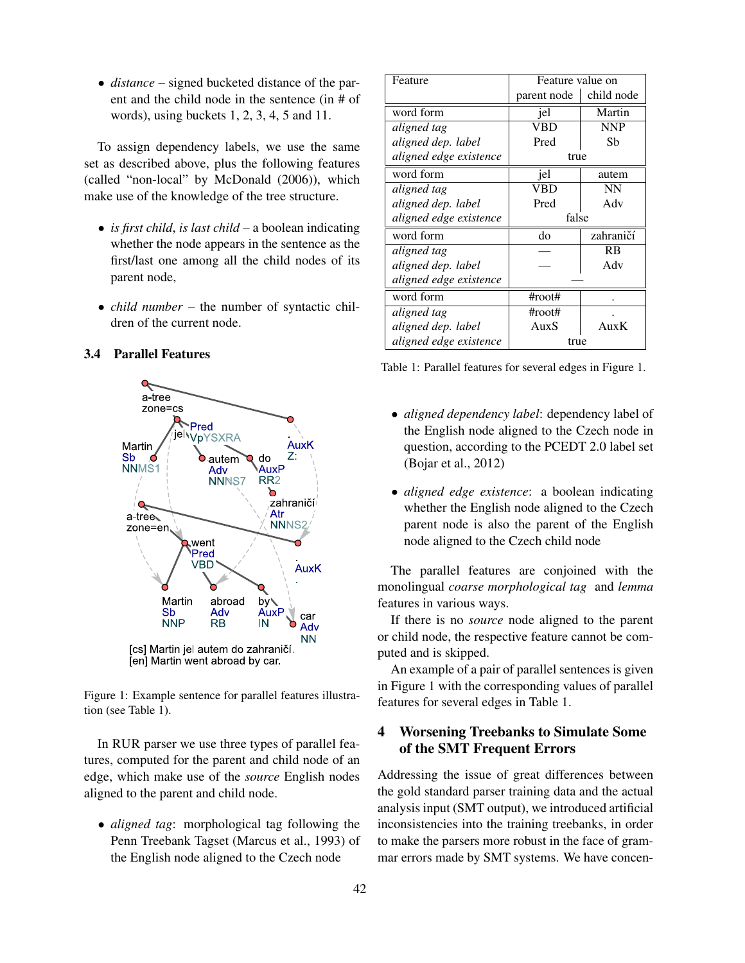• *distance* – signed bucketed distance of the parent and the child node in the sentence (in # of words), using buckets 1, 2, 3, 4, 5 and 11.

To assign dependency labels, we use the same set as described above, plus the following features (called "non-local" by McDonald (2006)), which make use of the knowledge of the tree structure.

- *is first child*, *is last child* a boolean indicating whether the node appears in the sentence as the first/last one among all the child nodes of its parent node,
- *child number* the number of syntactic children of the current node.

# 3.4 Parallel Features



Figure 1: Example sentence for parallel features illustration (see Table 1).

In RUR parser we use three types of parallel features, computed for the parent and child node of an edge, which make use of the *source* English nodes aligned to the parent and child node.

• *aligned tag*: morphological tag following the Penn Treebank Tagset (Marcus et al., 1993) of the English node aligned to the Czech node

| Feature                | Feature value on  |            |  |  |
|------------------------|-------------------|------------|--|--|
|                        | parent node       | child node |  |  |
| word form              | jel               | Martin     |  |  |
| aligned tag            | VBD               | <b>NNP</b> |  |  |
| aligned dep. label     | Pred              | Sb         |  |  |
| aligned edge existence | true              |            |  |  |
| word form              | jel               | autem      |  |  |
| aligned tag            | VBD               | NN         |  |  |
| aligned dep. label     | Pred              | Adv        |  |  |
|                        | false             |            |  |  |
| aligned edge existence |                   |            |  |  |
| word form              | do                | zahraničí  |  |  |
| aligned tag            |                   | RB         |  |  |
| aligned dep. label     |                   | Adv        |  |  |
| aligned edge existence |                   |            |  |  |
| word form              | $\text{\#root}\#$ |            |  |  |
| aligned tag            | $\#root\#$        |            |  |  |
| aligned dep. label     | AuxS              | Aux $K$    |  |  |

Table 1: Parallel features for several edges in Figure 1.

- *aligned dependency label*: dependency label of the English node aligned to the Czech node in question, according to the PCEDT 2.0 label set (Bojar et al., 2012)
- *aligned edge existence*: a boolean indicating whether the English node aligned to the Czech parent node is also the parent of the English node aligned to the Czech child node

The parallel features are conjoined with the monolingual *coarse morphological tag* and *lemma* features in various ways.

If there is no *source* node aligned to the parent or child node, the respective feature cannot be computed and is skipped.

An example of a pair of parallel sentences is given in Figure 1 with the corresponding values of parallel features for several edges in Table 1.

# 4 Worsening Treebanks to Simulate Some of the SMT Frequent Errors

Addressing the issue of great differences between the gold standard parser training data and the actual analysis input (SMT output), we introduced artificial inconsistencies into the training treebanks, in order to make the parsers more robust in the face of grammar errors made by SMT systems. We have concen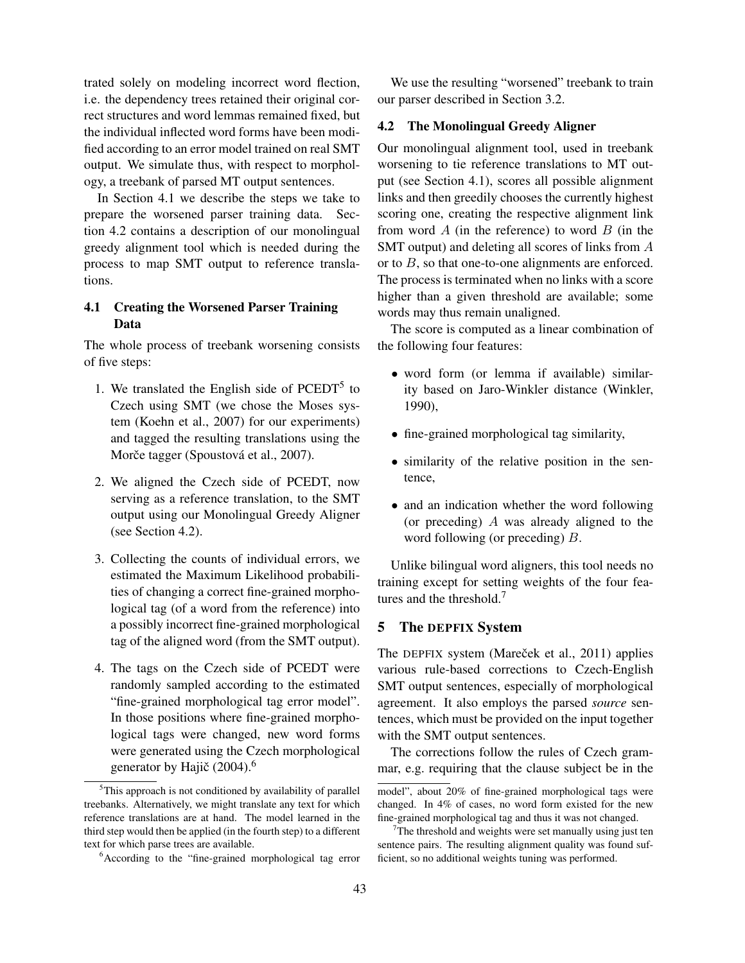trated solely on modeling incorrect word flection, i.e. the dependency trees retained their original correct structures and word lemmas remained fixed, but the individual inflected word forms have been modified according to an error model trained on real SMT output. We simulate thus, with respect to morphology, a treebank of parsed MT output sentences.

In Section 4.1 we describe the steps we take to prepare the worsened parser training data. Section 4.2 contains a description of our monolingual greedy alignment tool which is needed during the process to map SMT output to reference translations.

# 4.1 Creating the Worsened Parser Training Data

The whole process of treebank worsening consists of five steps:

- 1. We translated the English side of  $PCEDT<sup>5</sup>$  to Czech using SMT (we chose the Moses system (Koehn et al., 2007) for our experiments) and tagged the resulting translations using the Morče tagger (Spoustová et al., 2007).
- 2. We aligned the Czech side of PCEDT, now serving as a reference translation, to the SMT output using our Monolingual Greedy Aligner (see Section 4.2).
- 3. Collecting the counts of individual errors, we estimated the Maximum Likelihood probabilities of changing a correct fine-grained morphological tag (of a word from the reference) into a possibly incorrect fine-grained morphological tag of the aligned word (from the SMT output).
- 4. The tags on the Czech side of PCEDT were randomly sampled according to the estimated "fine-grained morphological tag error model". In those positions where fine-grained morphological tags were changed, new word forms were generated using the Czech morphological generator by Hajič  $(2004)$ .<sup>6</sup>

We use the resulting "worsened" treebank to train our parser described in Section 3.2.

# 4.2 The Monolingual Greedy Aligner

Our monolingual alignment tool, used in treebank worsening to tie reference translations to MT output (see Section 4.1), scores all possible alignment links and then greedily chooses the currently highest scoring one, creating the respective alignment link from word  $A$  (in the reference) to word  $B$  (in the SMT output) and deleting all scores of links from A or to B, so that one-to-one alignments are enforced. The process is terminated when no links with a score higher than a given threshold are available; some words may thus remain unaligned.

The score is computed as a linear combination of the following four features:

- word form (or lemma if available) similarity based on Jaro-Winkler distance (Winkler, 1990),
- fine-grained morphological tag similarity,
- similarity of the relative position in the sentence,
- and an indication whether the word following (or preceding)  $A$  was already aligned to the word following (or preceding) B.

Unlike bilingual word aligners, this tool needs no training except for setting weights of the four features and the threshold.<sup>7</sup>

### 5 The DEPFIX System

The DEPFIX system (Mareček et al., 2011) applies various rule-based corrections to Czech-English SMT output sentences, especially of morphological agreement. It also employs the parsed *source* sentences, which must be provided on the input together with the SMT output sentences.

The corrections follow the rules of Czech grammar, e.g. requiring that the clause subject be in the

<sup>&</sup>lt;sup>5</sup>This approach is not conditioned by availability of parallel treebanks. Alternatively, we might translate any text for which reference translations are at hand. The model learned in the third step would then be applied (in the fourth step) to a different text for which parse trees are available.

<sup>&</sup>lt;sup>6</sup>According to the "fine-grained morphological tag error"

model", about 20% of fine-grained morphological tags were changed. In 4% of cases, no word form existed for the new fine-grained morphological tag and thus it was not changed.

 $7$ The threshold and weights were set manually using just ten sentence pairs. The resulting alignment quality was found sufficient, so no additional weights tuning was performed.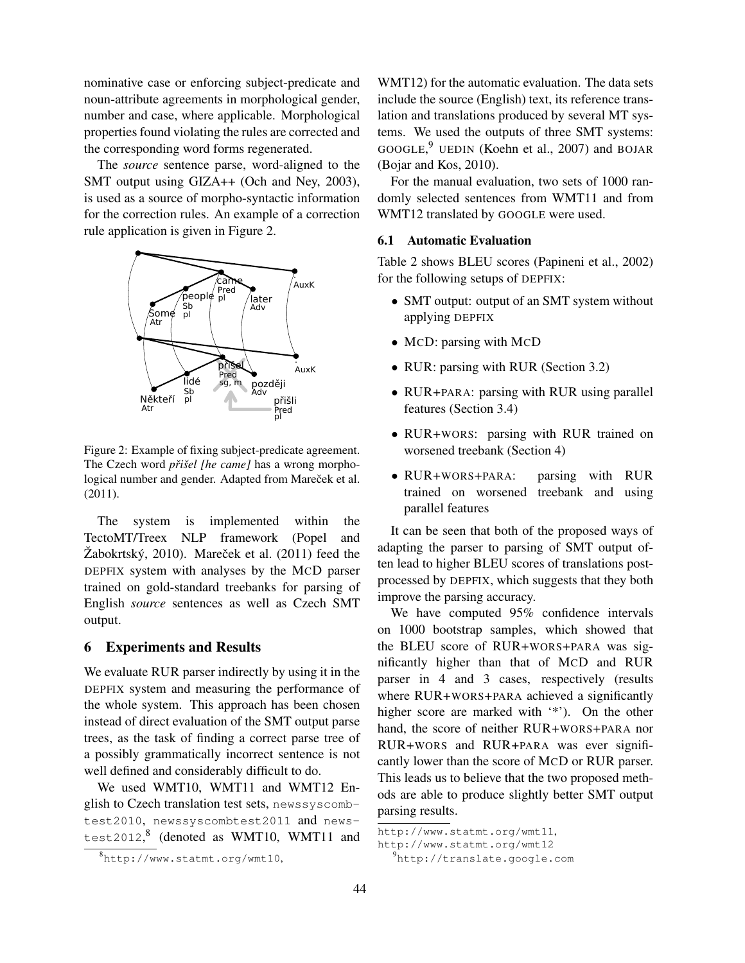nominative case or enforcing subject-predicate and noun-attribute agreements in morphological gender, number and case, where applicable. Morphological properties found violating the rules are corrected and the corresponding word forms regenerated.

The *source* sentence parse, word-aligned to the SMT output using GIZA++ (Och and Ney, 2003), is used as a source of morpho-syntactic information for the correction rules. An example of a correction rule application is given in Figure 2.



Figure 2: Example of fixing subject-predicate agreement. The Czech word *přišel [he came]* has a wrong morphological number and gender. Adapted from Mareček et al. (2011).

The system is implemented within the TectoMT/Treex NLP framework (Popel and  $\check{Z}$ abokrtský, 2010). Mareček et al. (2011) feed the DEPFIX system with analyses by the MCD parser trained on gold-standard treebanks for parsing of English *source* sentences as well as Czech SMT output.

### 6 Experiments and Results

We evaluate RUR parser indirectly by using it in the DEPFIX system and measuring the performance of the whole system. This approach has been chosen instead of direct evaluation of the SMT output parse trees, as the task of finding a correct parse tree of a possibly grammatically incorrect sentence is not well defined and considerably difficult to do.

We used WMT10, WMT11 and WMT12 English to Czech translation test sets, newssyscombtest2010, newssyscombtest2011 and newstest2012, 8 (denoted as WMT10, WMT11 and

WMT12) for the automatic evaluation. The data sets include the source (English) text, its reference translation and translations produced by several MT systems. We used the outputs of three SMT systems: GOOGLE, <sup>9</sup> UEDIN (Koehn et al., 2007) and BOJAR (Bojar and Kos, 2010).

For the manual evaluation, two sets of 1000 randomly selected sentences from WMT11 and from WMT12 translated by GOOGLE were used.

### 6.1 Automatic Evaluation

Table 2 shows BLEU scores (Papineni et al., 2002) for the following setups of DEPFIX:

- SMT output: output of an SMT system without applying DEPFIX
- McD: parsing with McD
- RUR: parsing with RUR (Section 3.2)
- RUR+PARA: parsing with RUR using parallel features (Section 3.4)
- RUR+WORS: parsing with RUR trained on worsened treebank (Section 4)
- RUR+WORS+PARA: parsing with RUR trained on worsened treebank and using parallel features

It can be seen that both of the proposed ways of adapting the parser to parsing of SMT output often lead to higher BLEU scores of translations postprocessed by DEPFIX, which suggests that they both improve the parsing accuracy.

We have computed 95% confidence intervals on 1000 bootstrap samples, which showed that the BLEU score of RUR+WORS+PARA was significantly higher than that of MCD and RUR parser in 4 and 3 cases, respectively (results where RUR+WORS+PARA achieved a significantly higher score are marked with '\*'). On the other hand, the score of neither RUR+WORS+PARA nor RUR+WORS and RUR+PARA was ever significantly lower than the score of MCD or RUR parser. This leads us to believe that the two proposed methods are able to produce slightly better SMT output parsing results.

<sup>8</sup>http://www.statmt.org/wmt10,

http://www.statmt.org/wmt11,

http://www.statmt.org/wmt12 <sup>9</sup>http://translate.google.com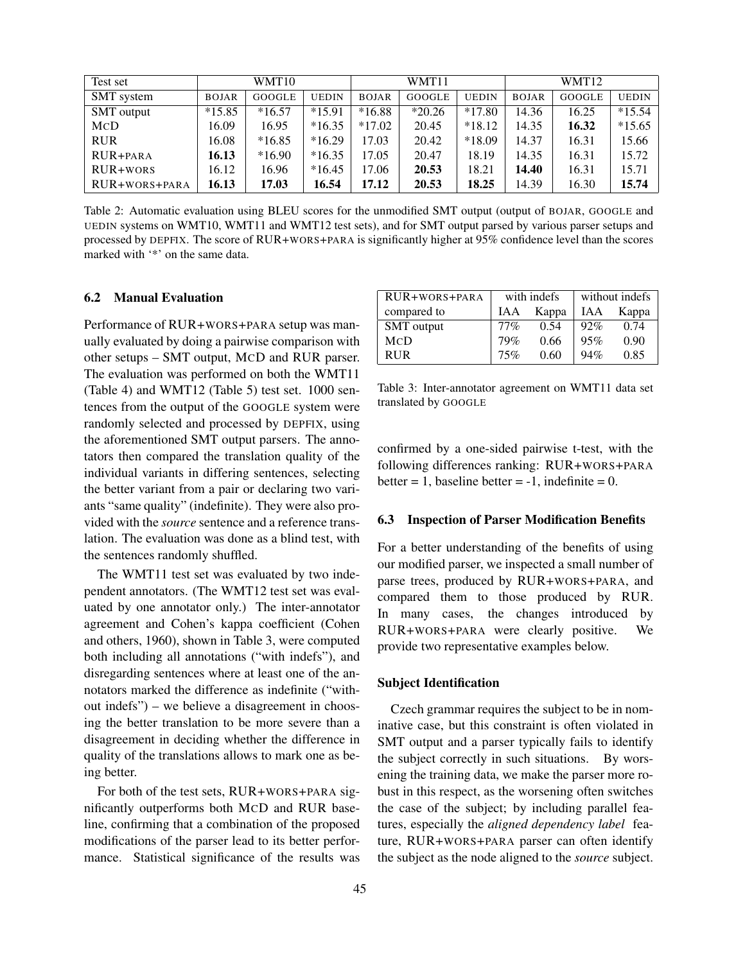| Test set      | WMT10        |          |              | WMT11        |          |              | WMT12        |        |              |
|---------------|--------------|----------|--------------|--------------|----------|--------------|--------------|--------|--------------|
| SMT system    | <b>BOJAR</b> | GOOGLE   | <b>UEDIN</b> | <b>BOJAR</b> | GOOGLE   | <b>UEDIN</b> | <b>BOJAR</b> | GOOGLE | <b>UEDIN</b> |
| SMT output    | $*15.85$     | $*16.57$ | $*15.91$     | $*16.88$     | $*20.26$ | $*17.80$     | 14.36        | 16.25  | $*15.54$     |
| MCD           | 16.09        | 16.95    | $*16.35$     | $*17.02$     | 20.45    | $*18.12$     | 14.35        | 16.32  | $*15.65$     |
| <b>RUR</b>    | 16.08        | $*16.85$ | $*16.29$     | 17.03        | 20.42    | $*18.09$     | 14.37        | 16.31  | 15.66        |
| RUR+PARA      | 16.13        | $*16.90$ | $*16.35$     | 17.05        | 20.47    | 18.19        | 14.35        | 16.31  | 15.72        |
| RUR+wors      | 16.12        | 16.96    | $*16.45$     | 17.06        | 20.53    | 18.21        | 14.40        | 16.31  | 15.71        |
| RUR+WORS+PARA | 16.13        | 17.03    | 16.54        | 17.12        | 20.53    | 18.25        | 14.39        | 16.30  | 15.74        |

Table 2: Automatic evaluation using BLEU scores for the unmodified SMT output (output of BOJAR, GOOGLE and UEDIN systems on WMT10, WMT11 and WMT12 test sets), and for SMT output parsed by various parser setups and processed by DEPFIX. The score of RUR+WORS+PARA is significantly higher at 95% confidence level than the scores marked with '\*' on the same data.

### 6.2 Manual Evaluation

Performance of RUR+WORS+PARA setup was manually evaluated by doing a pairwise comparison with other setups – SMT output, MCD and RUR parser. The evaluation was performed on both the WMT11 (Table 4) and WMT12 (Table 5) test set. 1000 sentences from the output of the GOOGLE system were randomly selected and processed by DEPFIX, using the aforementioned SMT output parsers. The annotators then compared the translation quality of the individual variants in differing sentences, selecting the better variant from a pair or declaring two variants "same quality" (indefinite). They were also provided with the *source* sentence and a reference translation. The evaluation was done as a blind test, with the sentences randomly shuffled.

The WMT11 test set was evaluated by two independent annotators. (The WMT12 test set was evaluated by one annotator only.) The inter-annotator agreement and Cohen's kappa coefficient (Cohen and others, 1960), shown in Table 3, were computed both including all annotations ("with indefs"), and disregarding sentences where at least one of the annotators marked the difference as indefinite ("without indefs") – we believe a disagreement in choosing the better translation to be more severe than a disagreement in deciding whether the difference in quality of the translations allows to mark one as being better.

For both of the test sets, RUR+WORS+PARA significantly outperforms both MCD and RUR baseline, confirming that a combination of the proposed modifications of the parser lead to its better performance. Statistical significance of the results was

| $RUR+WORS+PARA$   | with indefs |       | without indefs |      |  |
|-------------------|-------------|-------|----------------|------|--|
| compared to       | IAA         | Kappa | Kappa<br>IAA   |      |  |
| <b>SMT</b> output | $77\%$      | 0.54  | 92%            | 0.74 |  |
| <b>MCD</b>        | 79%         | 0.66  | 95%            | 0.90 |  |
| <b>RUR</b>        | 75%         | 0.60  | 94%            | 0.85 |  |

Table 3: Inter-annotator agreement on WMT11 data set translated by GOOGLE

confirmed by a one-sided pairwise t-test, with the following differences ranking: RUR+WORS+PARA better = 1, baseline better =  $-1$ , indefinite = 0.

#### 6.3 Inspection of Parser Modification Benefits

For a better understanding of the benefits of using our modified parser, we inspected a small number of parse trees, produced by RUR+WORS+PARA, and compared them to those produced by RUR. In many cases, the changes introduced by RUR+WORS+PARA were clearly positive. We provide two representative examples below.

### Subject Identification

Czech grammar requires the subject to be in nominative case, but this constraint is often violated in SMT output and a parser typically fails to identify the subject correctly in such situations. By worsening the training data, we make the parser more robust in this respect, as the worsening often switches the case of the subject; by including parallel features, especially the *aligned dependency label* feature, RUR+WORS+PARA parser can often identify the subject as the node aligned to the *source* subject.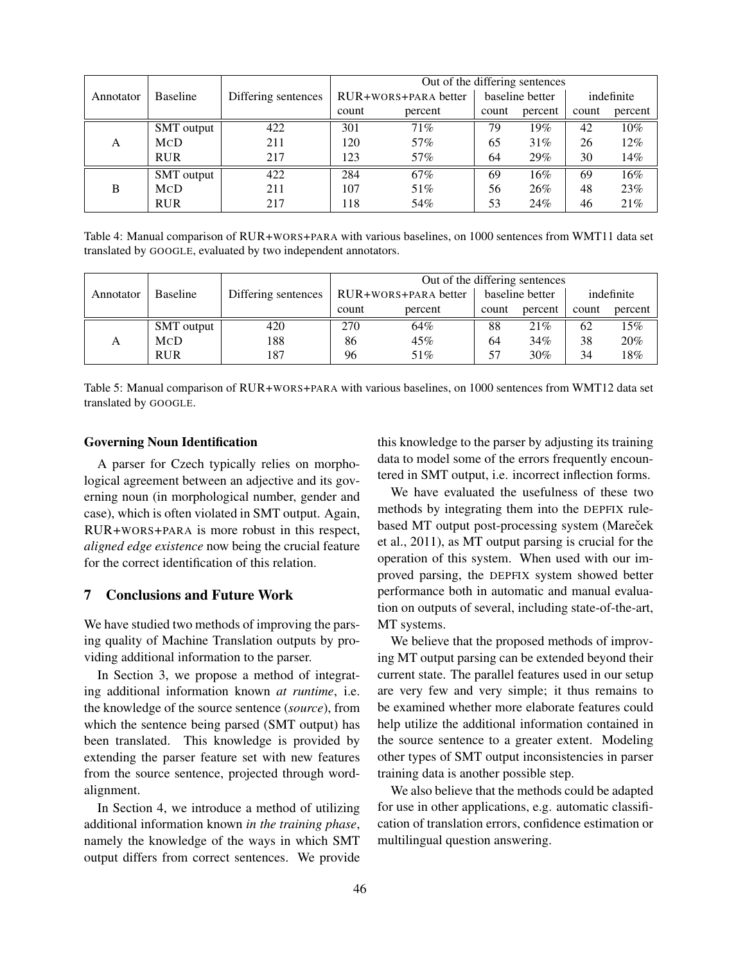|           |            |                     | Out of the differing sentences |                      |                 |         |            |         |
|-----------|------------|---------------------|--------------------------------|----------------------|-----------------|---------|------------|---------|
| Annotator | Baseline   | Differing sentences |                                | RUR+WORS+PARA better | baseline better |         | indefinite |         |
|           |            |                     | count                          | percent              | count           | percent | count      | percent |
|           | SMT output | 422                 | 301                            | 71%                  | 79              | 19%     | 42         | $10\%$  |
| A         | <b>MCD</b> | 211                 | 120                            | 57%                  | 65              | 31%     | 26         | 12%     |
|           | <b>RUR</b> | 217                 | 123                            | 57%                  | 64              | 29%     | 30         | 14%     |
|           | SMT output | 422                 | 284                            | 67%                  | 69              | 16%     | 69         | 16%     |
| B         | <b>MCD</b> | 211                 | 107                            | 51%                  | 56              | 26%     | 48         | 23%     |
|           | <b>RUR</b> | 217                 | 118                            | 54%                  | 53              | 24%     | 46         | 21\%    |

Table 4: Manual comparison of RUR+WORS+PARA with various baselines, on 1000 sentences from WMT11 data set translated by GOOGLE, evaluated by two independent annotators.

|                       |                   |                     | Out of the differing sentences |                      |                 |         |            |         |
|-----------------------|-------------------|---------------------|--------------------------------|----------------------|-----------------|---------|------------|---------|
| Baseline<br>Annotator |                   | Differing sentences |                                | RUR+WORS+PARA better | baseline better |         | indefinite |         |
|                       |                   |                     | count                          | percent              | count           | percent | count      | percent |
|                       | <b>SMT</b> output | 420                 | 270                            | 64%                  | 88              | 21%     | 62         | 15%     |
| А                     | <b>MCD</b>        | 188                 | 86                             | 45%                  | 64              | 34%     | 38         | 20%     |
|                       | <b>RUR</b>        | 187                 | 96                             | 51%                  | 57              | 30%     | 34         | $18\%$  |

Table 5: Manual comparison of RUR+WORS+PARA with various baselines, on 1000 sentences from WMT12 data set translated by GOOGLE.

### Governing Noun Identification

A parser for Czech typically relies on morphological agreement between an adjective and its governing noun (in morphological number, gender and case), which is often violated in SMT output. Again, RUR+WORS+PARA is more robust in this respect, *aligned edge existence* now being the crucial feature for the correct identification of this relation.

### 7 Conclusions and Future Work

We have studied two methods of improving the parsing quality of Machine Translation outputs by providing additional information to the parser.

In Section 3, we propose a method of integrating additional information known *at runtime*, i.e. the knowledge of the source sentence (*source*), from which the sentence being parsed (SMT output) has been translated. This knowledge is provided by extending the parser feature set with new features from the source sentence, projected through wordalignment.

In Section 4, we introduce a method of utilizing additional information known *in the training phase*, namely the knowledge of the ways in which SMT output differs from correct sentences. We provide this knowledge to the parser by adjusting its training data to model some of the errors frequently encountered in SMT output, i.e. incorrect inflection forms.

We have evaluated the usefulness of these two methods by integrating them into the DEPFIX rulebased MT output post-processing system (Mareček et al., 2011), as MT output parsing is crucial for the operation of this system. When used with our improved parsing, the DEPFIX system showed better performance both in automatic and manual evaluation on outputs of several, including state-of-the-art, MT systems.

We believe that the proposed methods of improving MT output parsing can be extended beyond their current state. The parallel features used in our setup are very few and very simple; it thus remains to be examined whether more elaborate features could help utilize the additional information contained in the source sentence to a greater extent. Modeling other types of SMT output inconsistencies in parser training data is another possible step.

We also believe that the methods could be adapted for use in other applications, e.g. automatic classification of translation errors, confidence estimation or multilingual question answering.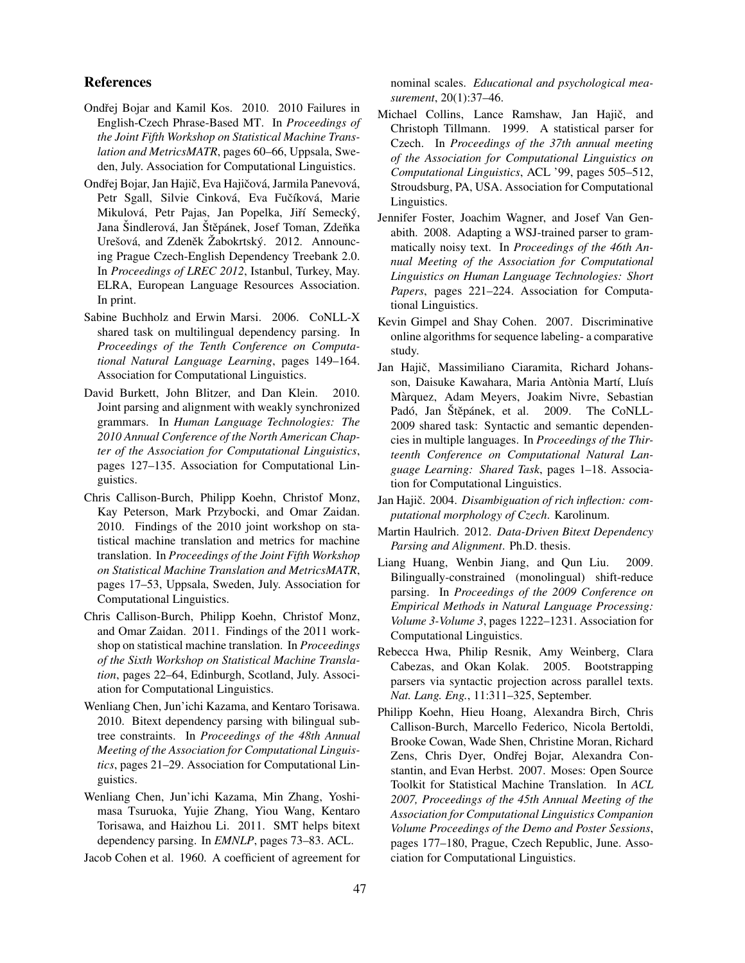### References

- Ondřej Bojar and Kamil Kos. 2010. 2010 Failures in English-Czech Phrase-Based MT. In *Proceedings of the Joint Fifth Workshop on Statistical Machine Translation and MetricsMATR*, pages 60–66, Uppsala, Sweden, July. Association for Computational Linguistics.
- Ondřej Bojar, Jan Hajič, Eva Hajičová, Jarmila Panevová, Petr Sgall, Silvie Cinková, Eva Fučíková, Marie Mikulová, Petr Pajas, Jan Popelka, Jiří Semecký, Jana Šindlerová, Jan Štěpánek, Josef Toman, Zdeňka Urešová, and Zdeněk Žabokrtský. 2012. Announcing Prague Czech-English Dependency Treebank 2.0. In *Proceedings of LREC 2012*, Istanbul, Turkey, May. ELRA, European Language Resources Association. In print.
- Sabine Buchholz and Erwin Marsi. 2006. CoNLL-X shared task on multilingual dependency parsing. In *Proceedings of the Tenth Conference on Computational Natural Language Learning*, pages 149–164. Association for Computational Linguistics.
- David Burkett, John Blitzer, and Dan Klein. 2010. Joint parsing and alignment with weakly synchronized grammars. In *Human Language Technologies: The 2010 Annual Conference of the North American Chapter of the Association for Computational Linguistics*, pages 127–135. Association for Computational Linguistics.
- Chris Callison-Burch, Philipp Koehn, Christof Monz, Kay Peterson, Mark Przybocki, and Omar Zaidan. 2010. Findings of the 2010 joint workshop on statistical machine translation and metrics for machine translation. In *Proceedings of the Joint Fifth Workshop on Statistical Machine Translation and MetricsMATR*, pages 17–53, Uppsala, Sweden, July. Association for Computational Linguistics.
- Chris Callison-Burch, Philipp Koehn, Christof Monz, and Omar Zaidan. 2011. Findings of the 2011 workshop on statistical machine translation. In *Proceedings of the Sixth Workshop on Statistical Machine Translation*, pages 22–64, Edinburgh, Scotland, July. Association for Computational Linguistics.
- Wenliang Chen, Jun'ichi Kazama, and Kentaro Torisawa. 2010. Bitext dependency parsing with bilingual subtree constraints. In *Proceedings of the 48th Annual Meeting of the Association for Computational Linguistics*, pages 21–29. Association for Computational Linguistics.
- Wenliang Chen, Jun'ichi Kazama, Min Zhang, Yoshimasa Tsuruoka, Yujie Zhang, Yiou Wang, Kentaro Torisawa, and Haizhou Li. 2011. SMT helps bitext dependency parsing. In *EMNLP*, pages 73–83. ACL.
- Jacob Cohen et al. 1960. A coefficient of agreement for

nominal scales. *Educational and psychological measurement*, 20(1):37–46.

- Michael Collins, Lance Ramshaw, Jan Hajič, and Christoph Tillmann. 1999. A statistical parser for Czech. In *Proceedings of the 37th annual meeting of the Association for Computational Linguistics on Computational Linguistics*, ACL '99, pages 505–512, Stroudsburg, PA, USA. Association for Computational Linguistics.
- Jennifer Foster, Joachim Wagner, and Josef Van Genabith. 2008. Adapting a WSJ-trained parser to grammatically noisy text. In *Proceedings of the 46th Annual Meeting of the Association for Computational Linguistics on Human Language Technologies: Short Papers*, pages 221–224. Association for Computational Linguistics.
- Kevin Gimpel and Shay Cohen. 2007. Discriminative online algorithms for sequence labeling- a comparative study.
- Jan Hajič, Massimiliano Ciaramita, Richard Johansson, Daisuke Kawahara, Maria Antònia Martí, Lluís Marquez, Adam Meyers, Joakim Nivre, Sebastian ` Padó, Jan Štěpánek, et al. 2009. The CoNLL-2009 shared task: Syntactic and semantic dependencies in multiple languages. In *Proceedings of the Thirteenth Conference on Computational Natural Language Learning: Shared Task*, pages 1–18. Association for Computational Linguistics.
- Jan Hajič. 2004. *Disambiguation of rich inflection: computational morphology of Czech*. Karolinum.
- Martin Haulrich. 2012. *Data-Driven Bitext Dependency Parsing and Alignment*. Ph.D. thesis.
- Liang Huang, Wenbin Jiang, and Qun Liu. 2009. Bilingually-constrained (monolingual) shift-reduce parsing. In *Proceedings of the 2009 Conference on Empirical Methods in Natural Language Processing: Volume 3-Volume 3*, pages 1222–1231. Association for Computational Linguistics.
- Rebecca Hwa, Philip Resnik, Amy Weinberg, Clara Cabezas, and Okan Kolak. 2005. Bootstrapping parsers via syntactic projection across parallel texts. *Nat. Lang. Eng.*, 11:311–325, September.
- Philipp Koehn, Hieu Hoang, Alexandra Birch, Chris Callison-Burch, Marcello Federico, Nicola Bertoldi, Brooke Cowan, Wade Shen, Christine Moran, Richard Zens, Chris Dyer, Ondřej Bojar, Alexandra Constantin, and Evan Herbst. 2007. Moses: Open Source Toolkit for Statistical Machine Translation. In *ACL 2007, Proceedings of the 45th Annual Meeting of the Association for Computational Linguistics Companion Volume Proceedings of the Demo and Poster Sessions*, pages 177–180, Prague, Czech Republic, June. Association for Computational Linguistics.